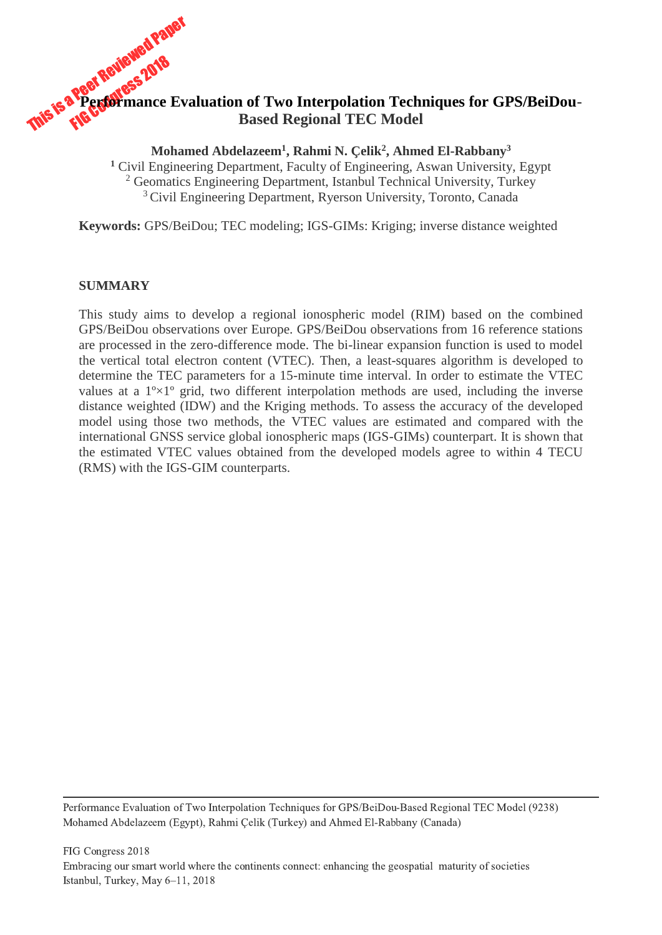# This is a Peerful paper Paper **Performance Evaluation of Two Interpolation Techniques for GPS/BeiDou-Based Regional TEC Model**

**Mohamed Abdelazeem<sup>1</sup> , Rahmi N. Çelik<sup>2</sup> , Ahmed El-Rabbany<sup>3</sup>**

**<sup>1</sup>** Civil Engineering Department, Faculty of Engineering, Aswan University, Egypt <sup>2</sup> Geomatics Engineering Department, Istanbul Technical University, Turkey <sup>3</sup> Civil Engineering Department, Ryerson University, Toronto, Canada

**Keywords:** GPS/BeiDou; TEC modeling; IGS-GIMs: Kriging; inverse distance weighted

## **SUMMARY**

This study aims to develop a regional ionospheric model (RIM) based on the combined GPS/BeiDou observations over Europe. GPS/BeiDou observations from 16 reference stations are processed in the zero-difference mode. The bi-linear expansion function is used to model the vertical total electron content (VTEC). Then, a least-squares algorithm is developed to determine the TEC parameters for a 15-minute time interval. In order to estimate the VTEC values at a  $1^{\circ} \times 1^{\circ}$  grid, two different interpolation methods are used, including the inverse distance weighted (IDW) and the Kriging methods. To assess the accuracy of the developed model using those two methods, the VTEC values are estimated and compared with the international GNSS service global ionospheric maps (IGS-GIMs) counterpart. It is shown that the estimated VTEC values obtained from the developed models agree to within 4 TECU (RMS) with the IGS-GIM counterparts.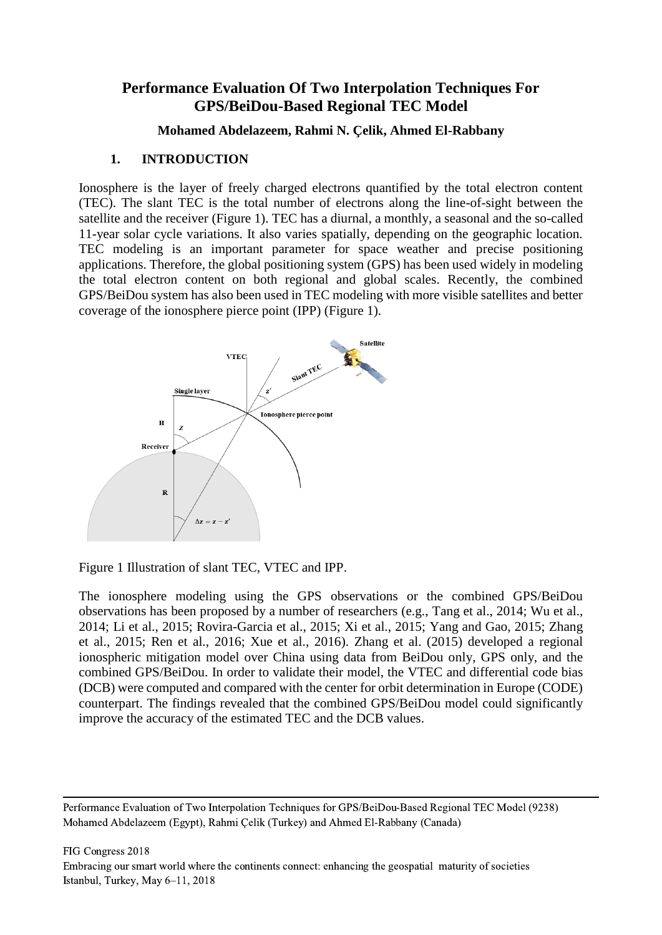# **Performance Evaluation Of Two Interpolation Techniques For GPS/BeiDou-Based Regional TEC Model**

## **Mohamed Abdelazeem, Rahmi N. Çelik, Ahmed El-Rabbany**

## **1. INTRODUCTION**

Ionosphere is the layer of freely charged electrons quantified by the total electron content (TEC). The slant TEC is the total number of electrons along the line-of-sight between the satellite and the receiver (Figure 1). TEC has a diurnal, a monthly, a seasonal and the so-called 11-year solar cycle variations. It also varies spatially, depending on the geographic location. TEC modeling is an important parameter for space weather and precise positioning applications. Therefore, the global positioning system (GPS) has been used widely in modeling the total electron content on both regional and global scales. Recently, the combined GPS/BeiDou system has also been used in TEC modeling with more visible satellites and better coverage of the ionosphere pierce point (IPP) (Figure 1).



Figure 1 Illustration of slant TEC, VTEC and IPP.

The ionosphere modeling using the GPS observations or the combined GPS/BeiDou observations has been proposed by a number of researchers (e.g., Tang et al., 2014; Wu et al., 2014; Li et al., 2015; Rovira-Garcia et al., 2015; Xi et al., 2015; Yang and Gao, 2015; Zhang et al., 2015; Ren et al., 2016; Xue et al., 2016). Zhang et al. (2015) developed a regional ionospheric mitigation model over China using data from BeiDou only, GPS only, and the combined GPS/BeiDou. In order to validate their model, the VTEC and differential code bias (DCB) were computed and compared with the center for orbit determination in Europe (CODE) counterpart. The findings revealed that the combined GPS/BeiDou model could significantly improve the accuracy of the estimated TEC and the DCB values.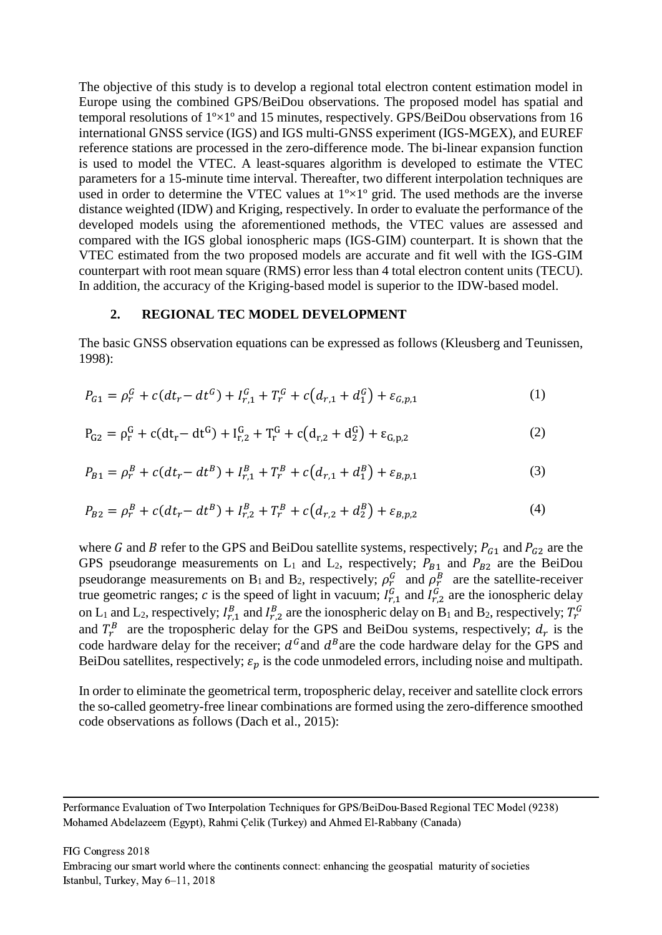The objective of this study is to develop a regional total electron content estimation model in Europe using the combined GPS/BeiDou observations. The proposed model has spatial and temporal resolutions of 1º×1º and 15 minutes, respectively. GPS/BeiDou observations from 16 international GNSS service (IGS) and IGS multi-GNSS experiment (IGS-MGEX), and EUREF reference stations are processed in the zero-difference mode. The bi-linear expansion function is used to model the VTEC. A least-squares algorithm is developed to estimate the VTEC parameters for a 15-minute time interval. Thereafter, two different interpolation techniques are used in order to determine the VTEC values at  $1^{\circ} \times 1^{\circ}$  grid. The used methods are the inverse distance weighted (IDW) and Kriging, respectively. In order to evaluate the performance of the developed models using the aforementioned methods, the VTEC values are assessed and compared with the IGS global ionospheric maps (IGS-GIM) counterpart. It is shown that the VTEC estimated from the two proposed models are accurate and fit well with the IGS-GIM counterpart with root mean square (RMS) error less than 4 total electron content units (TECU). In addition, the accuracy of the Kriging-based model is superior to the IDW-based model.

#### **2. REGIONAL TEC MODEL DEVELOPMENT**

The basic GNSS observation equations can be expressed as follows (Kleusberg and Teunissen, 1998):

$$
P_{G1} = \rho_r^G + c(dt_r - dt^G) + I_{r,1}^G + T_r^G + c(d_{r,1} + d_1^G) + \varepsilon_{G,p,1}
$$
 (1)

$$
P_{G2} = \rho_r^G + c(dt_r - dt^G) + I_{r,2}^G + T_r^G + c(d_{r,2} + d_2^G) + \varepsilon_{G,p,2}
$$
\n(2)

$$
P_{B1} = \rho_r^B + c(dt_r - dt^B) + I_{r,1}^B + T_r^B + c\left(d_{r,1} + d_1^B\right) + \varepsilon_{B,p,1} \tag{3}
$$

$$
P_{B2} = \rho_r^B + c(dt_r - dt^B) + I_{r,2}^B + T_r^B + c(d_{r,2} + d_2^B) + \varepsilon_{B,p,2}
$$
\n<sup>(4)</sup>

where G and B refer to the GPS and BeiDou satellite systems, respectively;  $P_{G1}$  and  $P_{G2}$  are the GPS pseudorange measurements on  $L_1$  and  $L_2$ , respectively;  $P_{B_1}$  and  $P_{B_2}$  are the BeiDou pseudorange measurements on B<sub>1</sub> and B<sub>2</sub>, respectively;  $\rho_r^G$  and  $\rho_r^B$  are the satellite-receiver true geometric ranges; c is the speed of light in vacuum;  $I_{r,1}^G$  and  $I_{r,2}^G$  are the ionospheric delay on L<sub>1</sub> and L<sub>2</sub>, respectively;  $I_{r,1}^B$  and  $I_{r,2}^B$  are the ionospheric delay on B<sub>1</sub> and B<sub>2</sub>, respectively;  $T_r^G$ and  $T_r^B$  are the tropospheric delay for the GPS and BeiDou systems, respectively;  $d_r$  is the code hardware delay for the receiver;  $d^G$  and  $d^B$  are the code hardware delay for the GPS and BeiDou satellites, respectively;  $\varepsilon_n$  is the code unmodeled errors, including noise and multipath.

In order to eliminate the geometrical term, tropospheric delay, receiver and satellite clock errors the so-called geometry-free linear combinations are formed using the zero-difference smoothed code observations as follows (Dach et al., 2015):

Performance Evaluation of Two Interpolation Techniques for GPS/BeiDou-Based Regional TEC Model (9238) Mohamed Abdelazeem (Egypt), Rahmi Çelik (Turkey) and Ahmed El-Rabbany (Canada)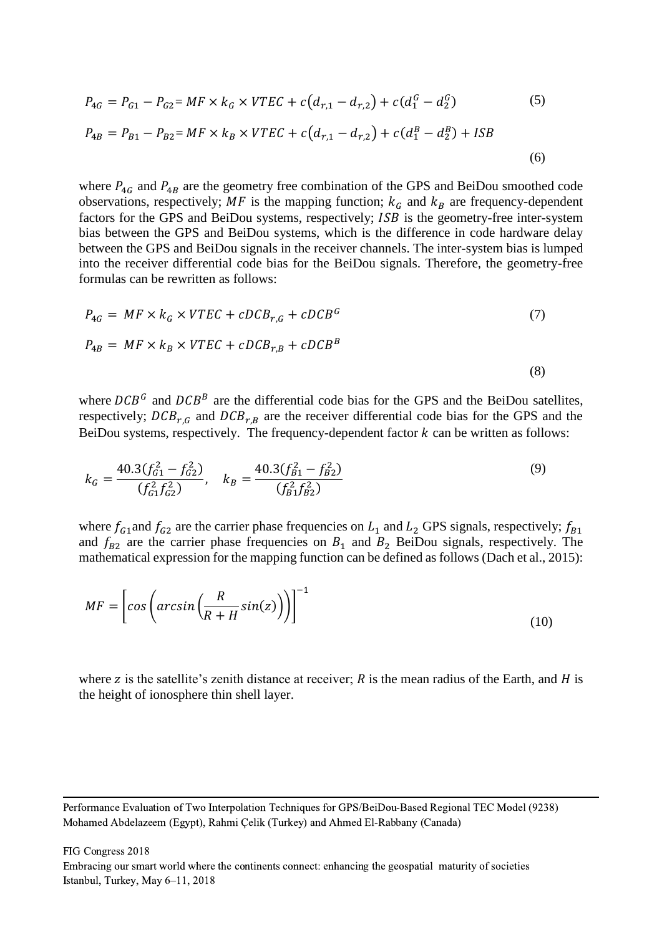$$
P_{4G} = P_{G1} - P_{G2} = MF \times k_G \times VTEC + c(d_{r,1} - d_{r,2}) + c(d_1^G - d_2^G)
$$
(5)  

$$
P_{4B} = P_{B1} - P_{B2} = MF \times k_B \times VTEC + c(d_{r,1} - d_{r,2}) + c(d_1^B - d_2^B) + ISB
$$
(6)

where  $P_{4G}$  and  $P_{4B}$  are the geometry free combination of the GPS and BeiDou smoothed code observations, respectively; MF is the mapping function;  $k_G$  and  $k_B$  are frequency-dependent factors for the GPS and BeiDou systems, respectively; *ISB* is the geometry-free inter-system bias between the GPS and BeiDou systems, which is the difference in code hardware delay between the GPS and BeiDou signals in the receiver channels. The inter-system bias is lumped into the receiver differential code bias for the BeiDou signals. Therefore, the geometry-free formulas can be rewritten as follows:

$$
P_{4G} = MF \times k_G \times VTEC + cDCB_{r,G} + cDCB^G
$$
\n
$$
P_{4B} = MF \times k_B \times VTEC + cDCB_{r,B} + cDCB^B
$$
\n(3)

where  $DCB^G$  and  $DCB^B$  are the differential code bias for the GPS and the BeiDou satellites, respectively;  $DCB_{r,G}$  and  $DCB_{r,B}$  are the receiver differential code bias for the GPS and the BeiDou systems, respectively. The frequency-dependent factor  $k$  can be written as follows:

$$
k_G = \frac{40.3(f_{G1}^2 - f_{G2}^2)}{(f_{G1}^2 f_{G2}^2)}, \quad k_B = \frac{40.3(f_{B1}^2 - f_{B2}^2)}{(f_{B1}^2 f_{B2}^2)}
$$
(9)

where  $f_{G1}$  and  $f_{G2}$  are the carrier phase frequencies on  $L_1$  and  $L_2$  GPS signals, respectively;  $f_{B1}$ and  $f_{B2}$  are the carrier phase frequencies on  $B_1$  and  $B_2$  BeiDou signals, respectively. The mathematical expression for the mapping function can be defined as follows (Dach et al., 2015):

$$
MF = \left[ cos\left( arcsin\left(\frac{R}{R+H}sin(z)\right) \right) \right]^{-1}
$$
\n(10)

where z is the satellite's zenith distance at receiver;  $\tilde{R}$  is the mean radius of the Earth, and  $\tilde{H}$  is the height of ionosphere thin shell layer.

Performance Evaluation of Two Interpolation Techniques for GPS/BeiDou-Based Regional TEC Model (9238) Mohamed Abdelazeem (Egypt), Rahmi Çelik (Turkey) and Ahmed El-Rabbany (Canada)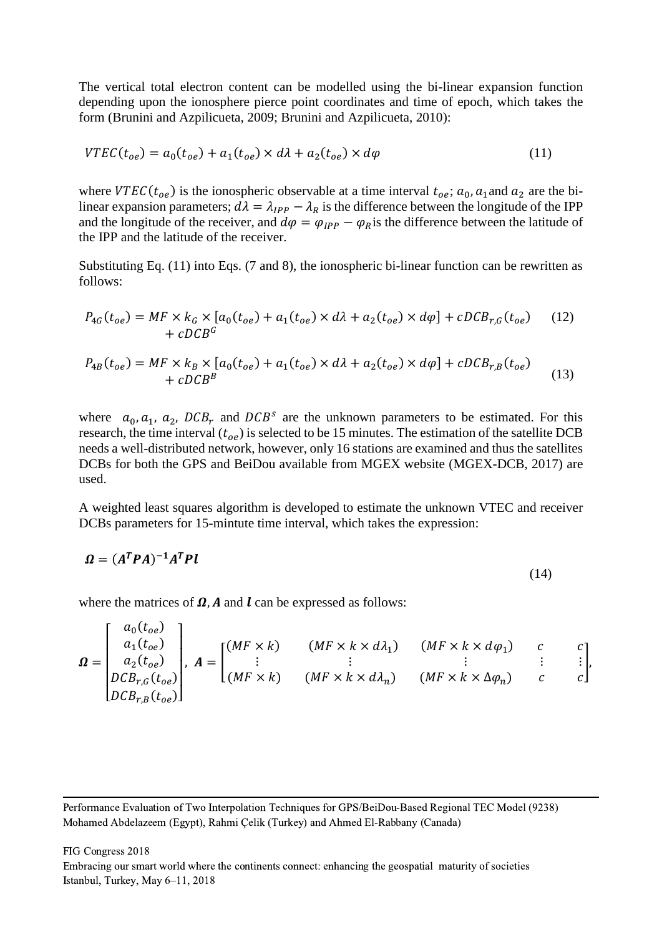The vertical total electron content can be modelled using the bi-linear expansion function depending upon the ionosphere pierce point coordinates and time of epoch, which takes the form (Brunini and Azpilicueta, 2009; Brunini and Azpilicueta, 2010):

$$
VTEC(t_{oe}) = a_0(t_{oe}) + a_1(t_{oe}) \times d\lambda + a_2(t_{oe}) \times d\varphi
$$
\n<sup>(11)</sup>

where  $VTEC(t_{oe})$  is the ionospheric observable at a time interval  $t_{oe}$ ;  $a_0$ ,  $a_1$  and  $a_2$  are the bilinear expansion parameters;  $d\lambda = \lambda_{IPP} - \lambda_R$  is the difference between the longitude of the IPP and the longitude of the receiver, and  $d\varphi = \varphi_{IPP} - \varphi_R$  is the difference between the latitude of the IPP and the latitude of the receiver.

Substituting Eq. (11) into Eqs. (7 and 8), the ionospheric bi-linear function can be rewritten as follows:

$$
P_{4G}(t_{oe}) = MF \times k_G \times [a_0(t_{oe}) + a_1(t_{oe}) \times d\lambda + a_2(t_{oe}) \times d\varphi] + cDCB_{r,G}(t_{oe}) \quad (12)
$$
  
+ 
$$
cDCB^G
$$
  

$$
P_{4B}(t_{oe}) = MF \times k_B \times [a_0(t_{oe}) + a_1(t_{oe}) \times d\lambda + a_2(t_{oe}) \times d\varphi] + cDCB_{r,B}(t_{oe})
$$
  
+ 
$$
cDCB^B
$$
 (13)

where  $a_0, a_1, a_2, DCB_r$  and  $DCB^s$  are the unknown parameters to be estimated. For this research, the time interval  $(t_{oe})$  is selected to be 15 minutes. The estimation of the satellite DCB needs a well-distributed network, however, only 16 stations are examined and thus the satellites DCBs for both the GPS and BeiDou available from MGEX website (MGEX-DCB, 2017) are used.

A weighted least squares algorithm is developed to estimate the unknown VTEC and receiver DCBs parameters for 15-mintute time interval, which takes the expression:

$$
\Omega = (A^T P A)^{-1} A^T P l \tag{14}
$$

where the matrices of  $\Omega$ , A and l can be expressed as follows:

$$
\mathbf{\Omega} = \begin{bmatrix} a_0(t_{oe}) \\ a_1(t_{oe}) \\ a_2(t_{oe}) \\ DCB_{r,G}(t_{oe}) \\ DCB_{r,B}(t_{oe}) \end{bmatrix}, \ \mathbf{A} = \begin{bmatrix} (MF \times k) & (MF \times k \times d\lambda_1) & (MF \times k \times d\varphi_1) & c & c \\ \vdots & \vdots & \vdots & \vdots & \vdots \\ (MF \times k) & (MF \times k \times d\lambda_n) & (MF \times k \times \Delta\varphi_n) & c & c \end{bmatrix}.
$$

Performance Evaluation of Two Interpolation Techniques for GPS/BeiDou-Based Regional TEC Model (9238) Mohamed Abdelazeem (Egypt), Rahmi Çelik (Turkey) and Ahmed El-Rabbany (Canada)

FIG Congress 2018 Embracing our smart world where the continents connect: enhancing the geospatial maturity of societies Istanbul, Turkey, May 6–11, 2018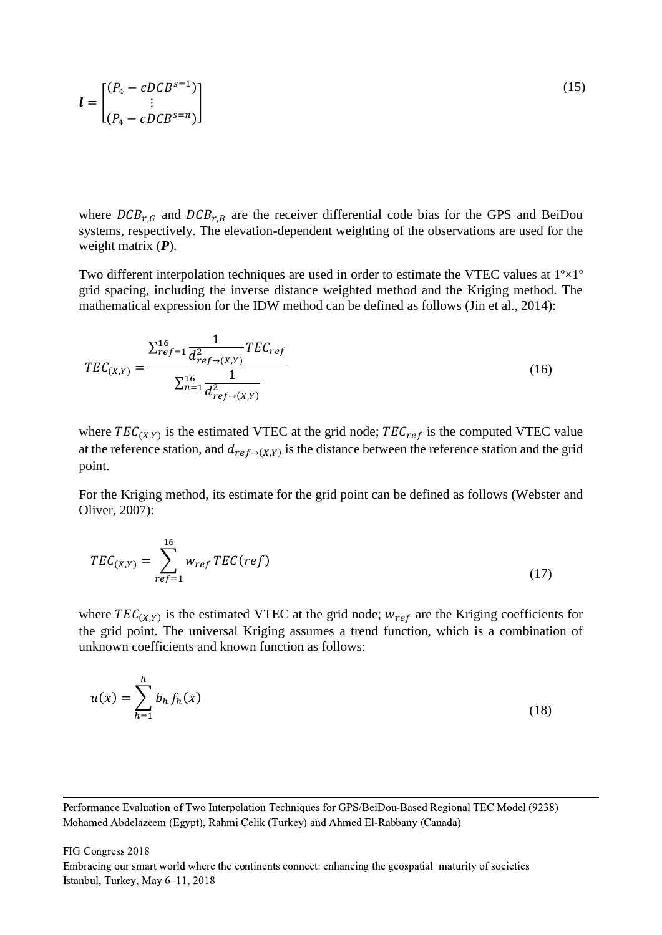$$
\boldsymbol{l} = \begin{bmatrix} (P_4 - cDCB^{s=1}) \\ \vdots \\ (P_4 - cDCB^{s=n}) \end{bmatrix} \tag{15}
$$

where  $DCB_{r,G}$  and  $DCB_{r,B}$  are the receiver differential code bias for the GPS and BeiDou systems, respectively. The elevation-dependent weighting of the observations are used for the weight matrix (*P*).

Two different interpolation techniques are used in order to estimate the VTEC values at  $1^{\circ} \times 1^{\circ}$ grid spacing, including the inverse distance weighted method and the Kriging method. The mathematical expression for the IDW method can be defined as follows (Jin et al., 2014):

$$
TEC_{(X,Y)} = \frac{\sum_{ref=1}^{16} \frac{1}{d_{ref\to(X,Y)}^2} TEC_{ref}}{\sum_{n=1}^{16} \frac{1}{d_{ref\to(X,Y)}^2}}
$$
(16)

where  $TEC_{(X,Y)}$  is the estimated VTEC at the grid node;  $TEC_{ref}$  is the computed VTEC value at the reference station, and  $d_{ref\rightarrow(X,Y)}$  is the distance between the reference station and the grid point.

For the Kriging method, its estimate for the grid point can be defined as follows (Webster and Oliver, 2007):

$$
TEC_{(X,Y)} = \sum_{ref=1}^{16} w_{ref} \, TEC(ref) \tag{17}
$$

where  $TEC_{(X,Y)}$  is the estimated VTEC at the grid node;  $w_{ref}$  are the Kriging coefficients for the grid point. The universal Kriging assumes a trend function, which is a combination of unknown coefficients and known function as follows:

$$
u(x) = \sum_{h=1}^{h} b_h f_h(x)
$$
 (18)

FIG Congress 2018 Embracing our smart world where the continents connect: enhancing the geospatial maturity of societies Istanbul, Turkey, May 6–11, 2018

Performance Evaluation of Two Interpolation Techniques for GPS/BeiDou-Based Regional TEC Model (9238) Mohamed Abdelazeem (Egypt), Rahmi Çelik (Turkey) and Ahmed El-Rabbany (Canada)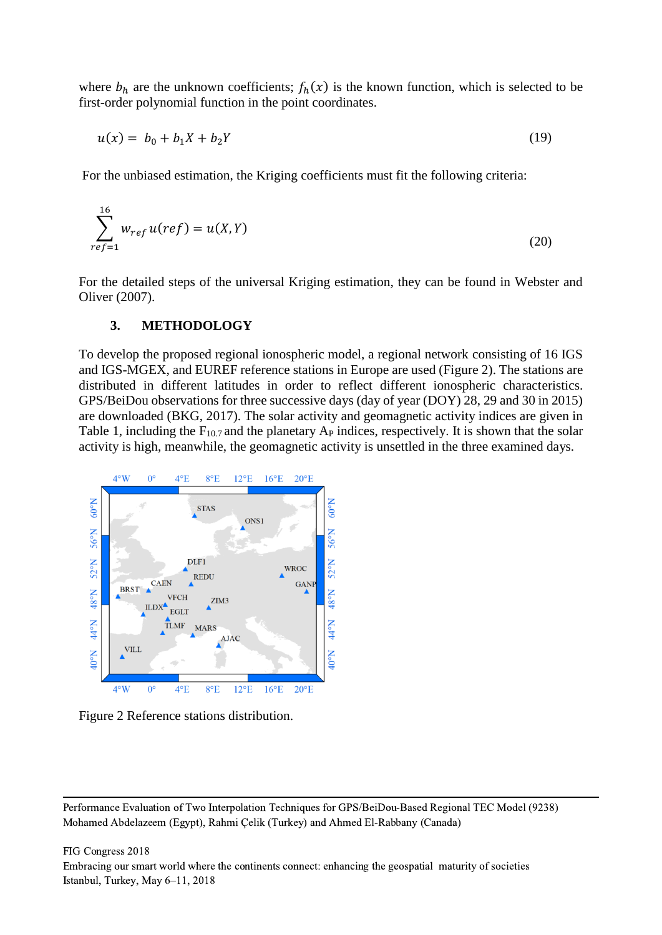where  $b_h$  are the unknown coefficients;  $f_h(x)$  is the known function, which is selected to be first-order polynomial function in the point coordinates.

$$
u(x) = b_0 + b_1 X + b_2 Y \tag{19}
$$

For the unbiased estimation, the Kriging coefficients must fit the following criteria:

$$
\sum_{ref=1}^{16} w_{ref} u(ref) = u(X,Y)
$$
\n(20)

For the detailed steps of the universal Kriging estimation, they can be found in Webster and Oliver (2007).

#### **3. METHODOLOGY**

To develop the proposed regional ionospheric model, a regional network consisting of 16 IGS and IGS-MGEX, and EUREF reference stations in Europe are used (Figure 2). The stations are distributed in different latitudes in order to reflect different ionospheric characteristics. GPS/BeiDou observations for three successive days (day of year (DOY) 28, 29 and 30 in 2015) are downloaded (BKG, 2017). The solar activity and geomagnetic activity indices are given in Table 1, including the  $F_{10.7}$  and the planetary  $A_P$  indices, respectively. It is shown that the solar activity is high, meanwhile, the geomagnetic activity is unsettled in the three examined days.



Figure 2 Reference stations distribution.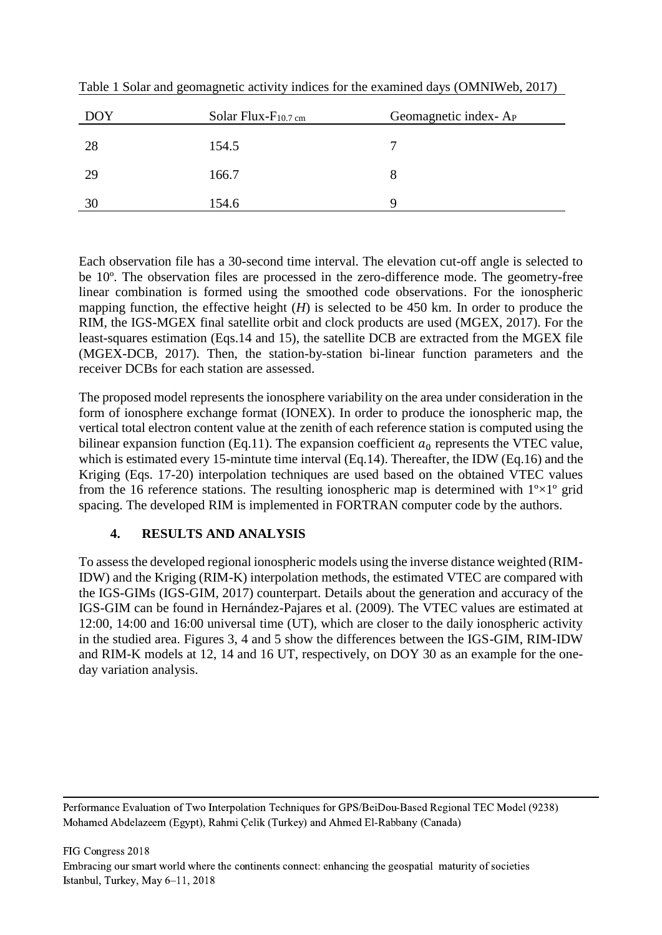| <b>DOY</b> | Solar Flux- $F_{10.7 \text{ cm}}$ | Geomagnetic index-A <sub>P</sub> |
|------------|-----------------------------------|----------------------------------|
| 28         | 154.5                             |                                  |
| 29         | 166.7                             | 8                                |
| 30         | 154.6                             | Q                                |

Table 1 Solar and geomagnetic activity indices for the examined days (OMNIWeb, 2017)

Each observation file has a 30-second time interval. The elevation cut-off angle is selected to be 10º. The observation files are processed in the zero-difference mode. The geometry-free linear combination is formed using the smoothed code observations. For the ionospheric mapping function, the effective height  $(H)$  is selected to be 450 km. In order to produce the RIM, the IGS-MGEX final satellite orbit and clock products are used (MGEX, 2017). For the least-squares estimation (Eqs.14 and 15), the satellite DCB are extracted from the MGEX file (MGEX-DCB, 2017). Then, the station-by-station bi-linear function parameters and the receiver DCBs for each station are assessed.

The proposed model represents the ionosphere variability on the area under consideration in the form of ionosphere exchange format (IONEX). In order to produce the ionospheric map, the vertical total electron content value at the zenith of each reference station is computed using the bilinear expansion function (Eq.11). The expansion coefficient  $a_0$  represents the VTEC value, which is estimated every 15-mintute time interval (Eq.14). Thereafter, the IDW (Eq.16) and the Kriging (Eqs. 17-20) interpolation techniques are used based on the obtained VTEC values from the 16 reference stations. The resulting ionospheric map is determined with  $1^{\circ} \times 1^{\circ}$  grid spacing. The developed RIM is implemented in FORTRAN computer code by the authors.

# **4. RESULTS AND ANALYSIS**

To assess the developed regional ionospheric models using the inverse distance weighted (RIM-IDW) and the Kriging (RIM-K) interpolation methods, the estimated VTEC are compared with the IGS-GIMs (IGS-GIM, 2017) counterpart. Details about the generation and accuracy of the IGS-GIM can be found in Hernández-Pajares et al. (2009). The VTEC values are estimated at 12:00, 14:00 and 16:00 universal time (UT), which are closer to the daily ionospheric activity in the studied area. Figures 3, 4 and 5 show the differences between the IGS-GIM, RIM-IDW and RIM-K models at 12, 14 and 16 UT, respectively, on DOY 30 as an example for the oneday variation analysis.

Performance Evaluation of Two Interpolation Techniques for GPS/BeiDou-Based Regional TEC Model (9238) Mohamed Abdelazeem (Egypt), Rahmi Çelik (Turkey) and Ahmed El-Rabbany (Canada)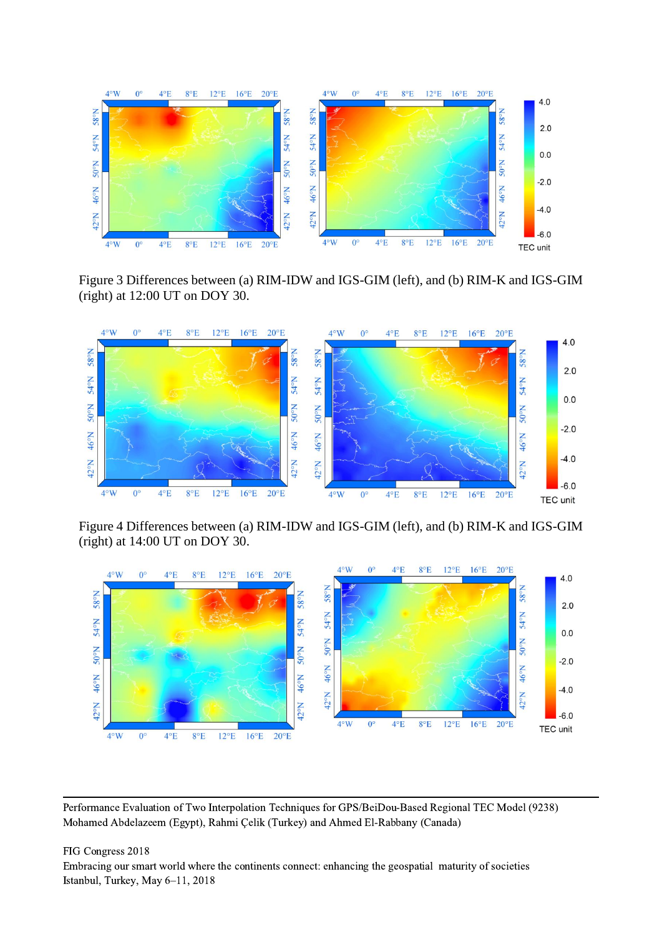

Figure 3 Differences between (a) RIM-IDW and IGS-GIM (left), and (b) RIM-K and IGS-GIM (right) at 12:00 UT on DOY 30.



Figure 4 Differences between (a) RIM-IDW and IGS-GIM (left), and (b) RIM-K and IGS-GIM (right) at 14:00 UT on DOY 30.



Performance Evaluation of Two Interpolation Techniques for GPS/BeiDou-Based Regional TEC Model (9238) Mohamed Abdelazeem (Egypt), Rahmi Çelik (Turkey) and Ahmed El-Rabbany (Canada)

FIG Congress 2018 Embracing our smart world where the continents connect: enhancing the geospatial maturity of societies Istanbul, Turkey, May 6–11, 2018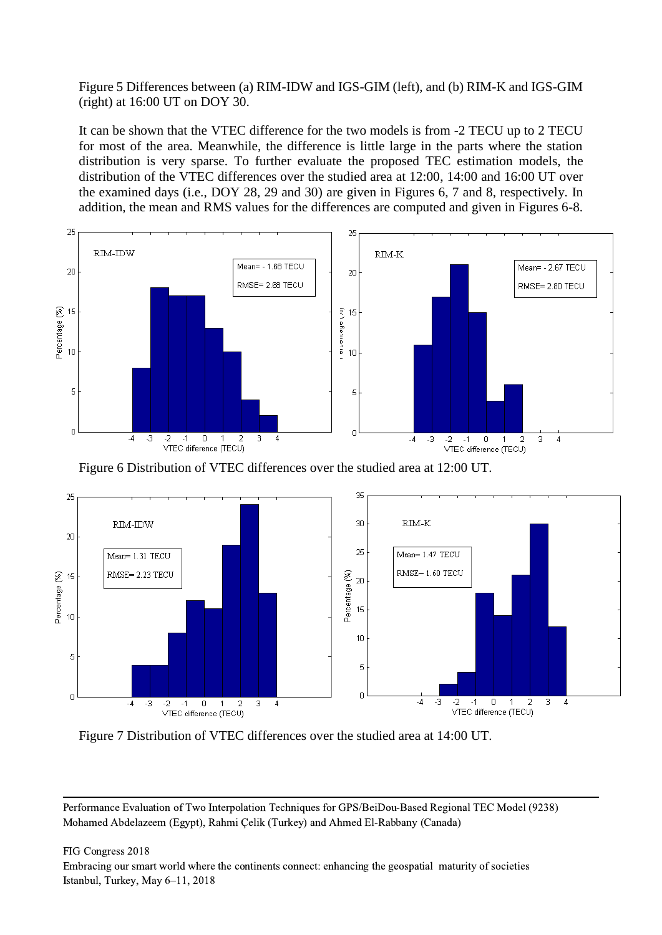Figure 5 Differences between (a) RIM-IDW and IGS-GIM (left), and (b) RIM-K and IGS-GIM (right) at 16:00 UT on DOY 30.

It can be shown that the VTEC difference for the two models is from -2 TECU up to 2 TECU for most of the area. Meanwhile, the difference is little large in the parts where the station distribution is very sparse. To further evaluate the proposed TEC estimation models, the distribution of the VTEC differences over the studied area at 12:00, 14:00 and 16:00 UT over the examined days (i.e., DOY 28, 29 and 30) are given in Figures 6, 7 and 8, respectively. In addition, the mean and RMS values for the differences are computed and given in Figures 6-8.



Figure 6 Distribution of VTEC differences over the studied area at 12:00 UT.



Figure 7 Distribution of VTEC differences over the studied area at 14:00 UT.

Performance Evaluation of Two Interpolation Techniques for GPS/BeiDou-Based Regional TEC Model (9238) Mohamed Abdelazeem (Egypt), Rahmi Çelik (Turkey) and Ahmed El-Rabbany (Canada)

FIG Congress 2018

Embracing our smart world where the continents connect: enhancing the geospatial maturity of societies Istanbul, Turkey, May 6–11, 2018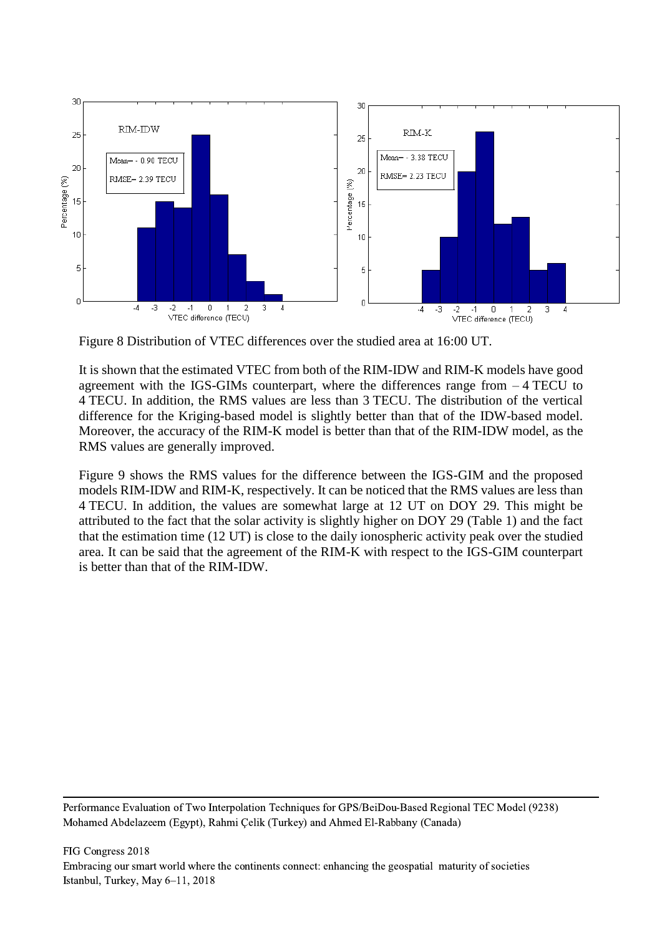

Figure 8 Distribution of VTEC differences over the studied area at 16:00 UT.

It is shown that the estimated VTEC from both of the RIM-IDW and RIM-K models have good agreement with the IGS-GIMs counterpart, where the differences range from – 4 TECU to 4 TECU. In addition, the RMS values are less than 3 TECU. The distribution of the vertical difference for the Kriging-based model is slightly better than that of the IDW-based model. Moreover, the accuracy of the RIM-K model is better than that of the RIM-IDW model, as the RMS values are generally improved.

Figure 9 shows the RMS values for the difference between the IGS-GIM and the proposed models RIM-IDW and RIM-K, respectively. It can be noticed that the RMS values are less than 4 TECU. In addition, the values are somewhat large at 12 UT on DOY 29. This might be attributed to the fact that the solar activity is slightly higher on DOY 29 (Table 1) and the fact that the estimation time (12 UT) is close to the daily ionospheric activity peak over the studied area. It can be said that the agreement of the RIM-K with respect to the IGS-GIM counterpart is better than that of the RIM-IDW.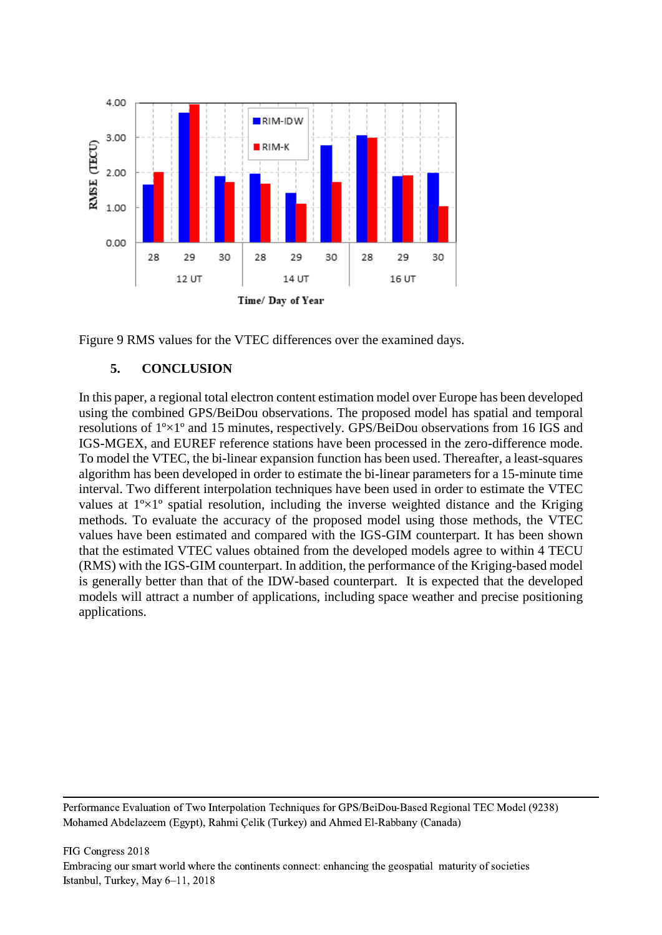



# **5. CONCLUSION**

In this paper, a regional total electron content estimation model over Europe has been developed using the combined GPS/BeiDou observations. The proposed model has spatial and temporal resolutions of 1º×1º and 15 minutes, respectively. GPS/BeiDou observations from 16 IGS and IGS-MGEX, and EUREF reference stations have been processed in the zero-difference mode. To model the VTEC, the bi-linear expansion function has been used. Thereafter, a least-squares algorithm has been developed in order to estimate the bi-linear parameters for a 15-minute time interval. Two different interpolation techniques have been used in order to estimate the VTEC values at  $1^{\circ} \times 1^{\circ}$  spatial resolution, including the inverse weighted distance and the Kriging methods. To evaluate the accuracy of the proposed model using those methods, the VTEC values have been estimated and compared with the IGS-GIM counterpart. It has been shown that the estimated VTEC values obtained from the developed models agree to within 4 TECU (RMS) with the IGS-GIM counterpart. In addition, the performance of the Kriging-based model is generally better than that of the IDW-based counterpart. It is expected that the developed models will attract a number of applications, including space weather and precise positioning applications.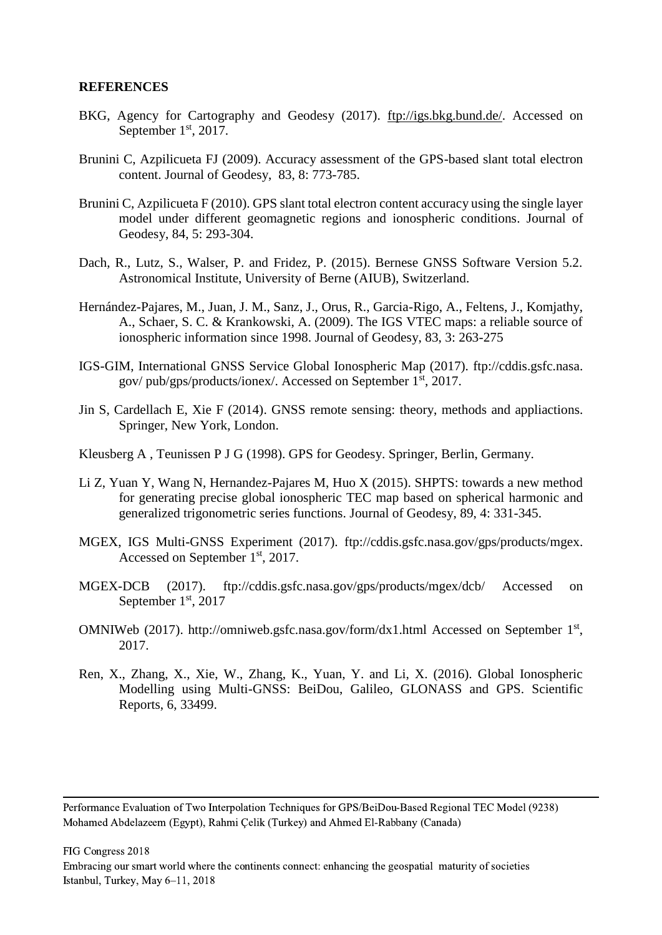#### **REFERENCES**

- BKG, Agency for Cartography and Geodesy (2017). [ftp://igs.bkg.bund.de/.](ftp://igs.bkg.bund.de/) Accessed on September  $1<sup>st</sup>$ , 2017.
- Brunini C, Azpilicueta FJ (2009). Accuracy assessment of the GPS-based slant total electron content. Journal of Geodesy, 83, 8: 773-785.
- Brunini C, Azpilicueta F (2010). GPS slant total electron content accuracy using the single layer model under different geomagnetic regions and ionospheric conditions. Journal of Geodesy, 84, 5: 293-304.
- Dach, R., Lutz, S., Walser, P. and Fridez, P. (2015). Bernese GNSS Software Version 5.2. Astronomical Institute, University of Berne (AIUB), Switzerland.
- Hernández-Pajares, M., Juan, J. M., Sanz, J., Orus, R., Garcia-Rigo, A., Feltens, J., Komjathy, A., Schaer, S. C. & Krankowski, A. (2009). The IGS VTEC maps: a reliable source of ionospheric information since 1998. Journal of Geodesy, 83, 3: 263-275
- IGS-GIM, International GNSS Service Global Ionospheric Map (2017). [ftp://cddis.gsfc.nasa.](ftp://cddis.gsfc.nasa/) gov/ pub/gps/products/ionex/. Accessed on September 1st, 2017.
- Jin S, Cardellach E, Xie F (2014). GNSS remote sensing: theory, methods and appliactions. Springer, New York, London.
- Kleusberg A , Teunissen P J G (1998). GPS for Geodesy. Springer, Berlin, Germany.
- Li Z, Yuan Y, Wang N, Hernandez-Pajares M, Huo X (2015). SHPTS: towards a new method for generating precise global ionospheric TEC map based on spherical harmonic and generalized trigonometric series functions. Journal of Geodesy, 89, 4: 331-345.
- MGEX, IGS Multi-GNSS Experiment (2017). ftp://cddis.gsfc.nasa.gov/gps/products/mgex. Accessed on September 1<sup>st</sup>, 2017.
- MGEX-DCB (2017). <ftp://cddis.gsfc.nasa.gov/gps/products/mgex/dcb/> Accessed on September 1st, 2017
- OMNIWeb (2017). <http://omniweb.gsfc.nasa.gov/form/dx1.html> Accessed on September  $1<sup>st</sup>$ , 2017.
- Ren, X., Zhang, X., Xie, W., Zhang, K., Yuan, Y. and Li, X. (2016). Global Ionospheric Modelling using Multi-GNSS: BeiDou, Galileo, GLONASS and GPS. Scientific Reports, 6, 33499.

Performance Evaluation of Two Interpolation Techniques for GPS/BeiDou-Based Regional TEC Model (9238) Mohamed Abdelazeem (Egypt), Rahmi Çelik (Turkey) and Ahmed El-Rabbany (Canada)